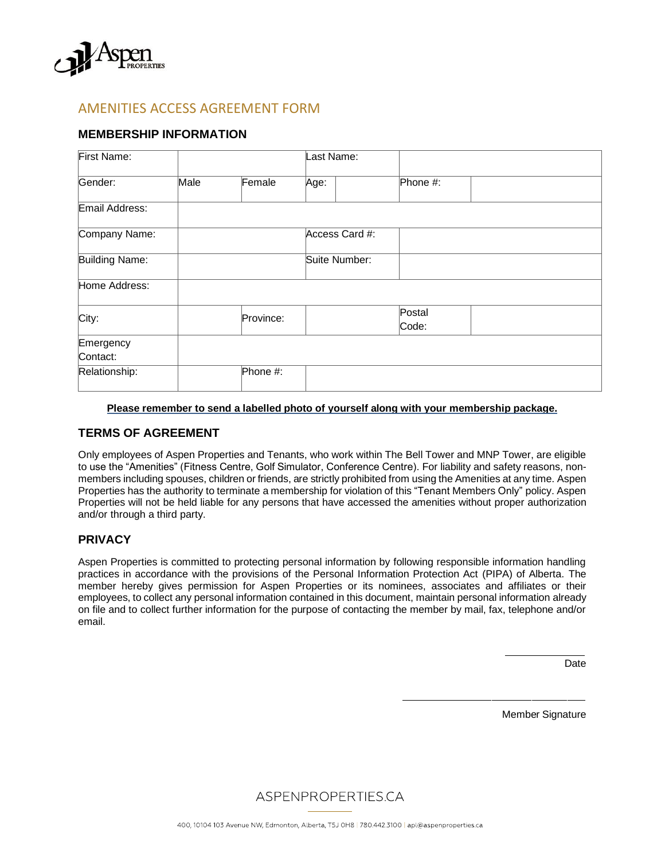

## AMENITIES ACCESS AGREEMENT FORM

## **MEMBERSHIP INFORMATION**

| <b>First Name:</b>        |      |           | Last Name:     |  |                 |  |
|---------------------------|------|-----------|----------------|--|-----------------|--|
| Gender:                   | Male | Female    | Age:           |  | Phone #:        |  |
| Email Address:            |      |           |                |  |                 |  |
| Company Name:             |      |           | Access Card #: |  |                 |  |
| <b>Building Name:</b>     |      |           | Suite Number:  |  |                 |  |
| Home Address:             |      |           |                |  |                 |  |
| City:                     |      | Province: |                |  | Postal<br>Code: |  |
| Emergency                 |      |           |                |  |                 |  |
| Contact:<br>Relationship: |      | Phone #:  |                |  |                 |  |

#### **Please remember to send a labelled photo of yourself along with your membership package.**

### **TERMS OF AGREEMENT**

Only employees of Aspen Properties and Tenants, who work within The Bell Tower and MNP Tower, are eligible to use the "Amenities" (Fitness Centre, Golf Simulator, Conference Centre). For liability and safety reasons, nonmembers including spouses, children or friends, are strictly prohibited from using the Amenities at any time. Aspen Properties has the authority to terminate a membership for violation of this "Tenant Members Only" policy. Aspen Properties will not be held liable for any persons that have accessed the amenities without proper authorization and/or through a third party.

### **PRIVACY**

Aspen Properties is committed to protecting personal information by following responsible information handling practices in accordance with the provisions of the Personal Information Protection Act (PIPA) of Alberta. The member hereby gives permission for Aspen Properties or its nominees, associates and affiliates or their employees, to collect any personal information contained in this document, maintain personal information already on file and to collect further information for the purpose of contacting the member by mail, fax, telephone and/or email.

**Date** 

Member Signature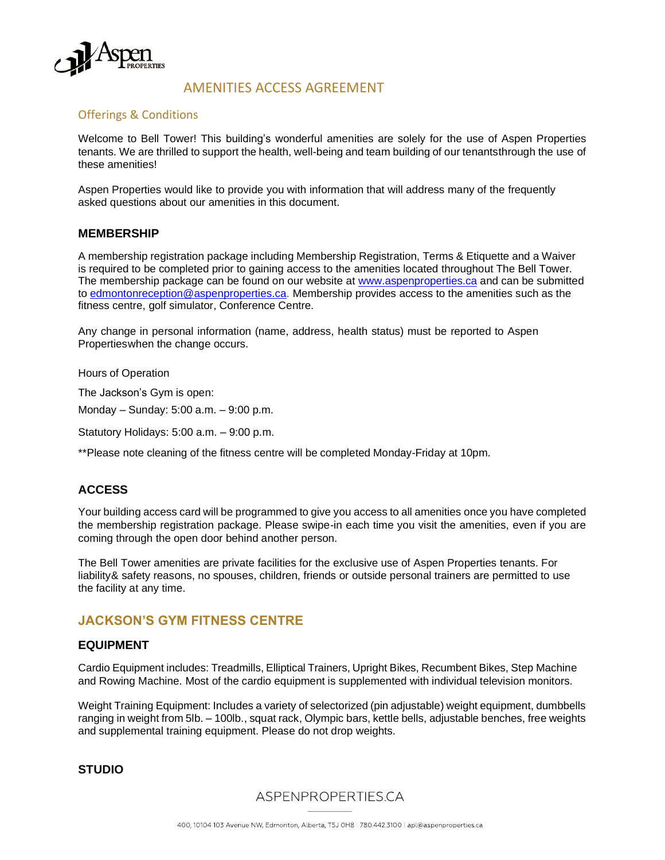

## AMENITIES ACCESS AGREEMENT

### Offerings & Conditions

Welcome to Bell Tower! This building's wonderful amenities are solely for the use of Aspen Properties tenants. We are thrilled to support the health, well-being and team building of our tenantsthrough the use of these amenities!

Aspen Properties would like to provide you with information that will address many of the frequently asked questions about our amenities in this document.

#### **MEMBERSHIP**

A membership registration package including Membership Registration, Terms & Etiquette and a Waiver is required to be completed prior to gaining access to the amenities located throughout The Bell Tower. The membership package can be found on our website [at www.aspenproperties.ca](http://aspenproperties.ca/properties/calgary/150-9th-avenue/#resources) and can be submitted to [edmontonreception@aspenproperties.ca. M](mailto:edmontonreception@aspenproperties.ca)embership provides access to the amenities such as the fitness centre, golf simulator, Conference Centre.

Any change in personal information (name, address, health status) must be reported to Aspen Propertieswhen the change occurs.

Hours of Operation

The Jackson's Gym is open:

Monday – Sunday: 5:00 a.m. – 9:00 p.m.

Statutory Holidays: 5:00 a.m. – 9:00 p.m.

\*\*Please note cleaning of the fitness centre will be completed Monday-Friday at 10pm.

## **ACCESS**

Your building access card will be programmed to give you access to all amenities once you have completed the membership registration package. Please swipe-in each time you visit the amenities, even if you are coming through the open door behind another person.

The Bell Tower amenities are private facilities for the exclusive use of Aspen Properties tenants. For liability& safety reasons, no spouses, children, friends or outside personal trainers are permitted to use the facility at any time.

### **JACKSON'S GYM FITNESS CENTRE**

#### **EQUIPMENT**

Cardio Equipment includes: Treadmills, Elliptical Trainers, Upright Bikes, Recumbent Bikes, Step Machine and Rowing Machine. Most of the cardio equipment is supplemented with individual television monitors.

Weight Training Equipment: Includes a variety of selectorized (pin adjustable) weight equipment, dumbbells ranging in weight from 5lb. – 100lb., squat rack, Olympic bars, kettle bells, adjustable benches, free weights and supplemental training equipment. Please do not drop weights.

**STUDIO**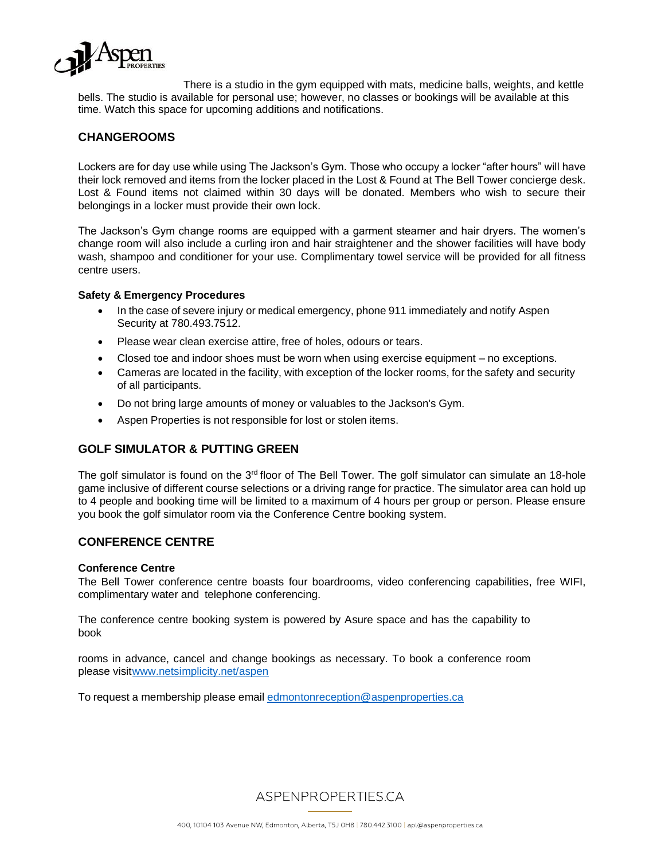

There is a studio in the gym equipped with mats, medicine balls, weights, and kettle bells. The studio is available for personal use; however, no classes or bookings will be available at this time. Watch this space for upcoming additions and notifications.

## **CHANGEROOMS**

Lockers are for day use while using The Jackson's Gym. Those who occupy a locker "after hours" will have their lock removed and items from the locker placed in the Lost & Found at The Bell Tower concierge desk. Lost & Found items not claimed within 30 days will be donated. Members who wish to secure their belongings in a locker must provide their own lock.

The Jackson's Gym change rooms are equipped with a garment steamer and hair dryers. The women's change room will also include a curling iron and hair straightener and the shower facilities will have body wash, shampoo and conditioner for your use. Complimentary towel service will be provided for all fitness centre users.

#### **Safety & Emergency Procedures**

- In the case of severe injury or medical emergency, phone 911 immediately and notify Aspen Security at 780.493.7512.
- Please wear clean exercise attire, free of holes, odours or tears.
- Closed toe and indoor shoes must be worn when using exercise equipment no exceptions.
- Cameras are located in the facility, with exception of the locker rooms, for the safety and security of all participants.
- Do not bring large amounts of money or valuables to the Jackson's Gym.
- Aspen Properties is not responsible for lost or stolen items.

### **GOLF SIMULATOR & PUTTING GREEN**

The golf simulator is found on the  $3<sup>rd</sup>$  floor of The Bell Tower. The golf simulator can simulate an 18-hole game inclusive of different course selections or a driving range for practice. The simulator area can hold up to 4 people and booking time will be limited to a maximum of 4 hours per group or person. Please ensure you book the golf simulator room via the Conference Centre booking system.

### **CONFERENCE CENTRE**

#### **Conference Centre**

The Bell Tower conference centre boasts four boardrooms, video conferencing capabilities, free WIFI, complimentary water and telephone conferencing.

The conference centre booking system is powered by Asure space and has the capability to book

rooms in advance, cancel and change bookings as necessary. To book a conference room please visi[twww.netsimplicity.net/aspen](http://www.netsimplicity.net/aspen)

To request a membership please email [edmontonreception@aspenproperties.ca](mailto:edmontonreception@aspenproperties.ca)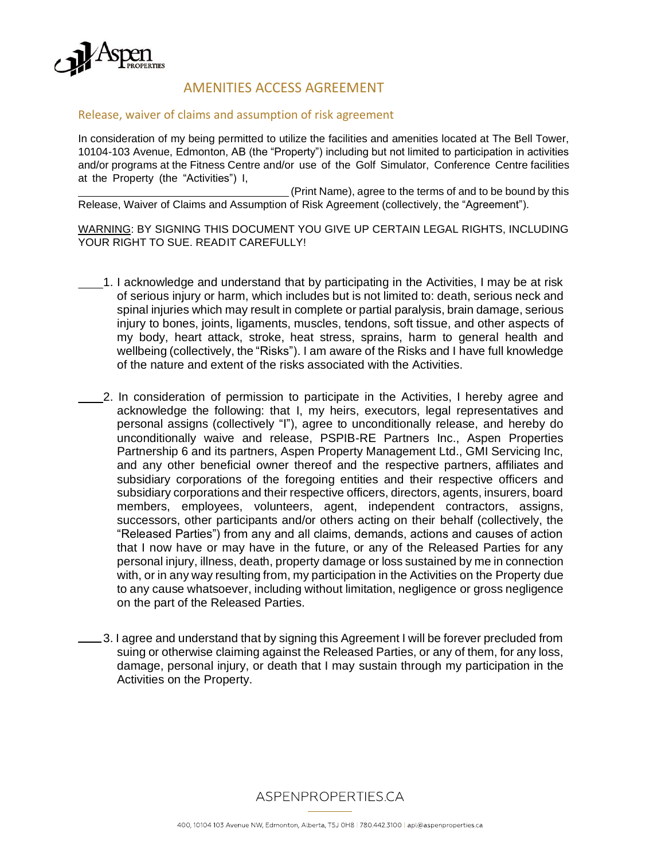

# AMENITIES ACCESS AGREEMENT

### Release, waiver of claims and assumption of risk agreement

In consideration of my being permitted to utilize the facilities and amenities located at The Bell Tower, 10104-103 Avenue, Edmonton, AB (the "Property") including but not limited to participation in activities and/or programs at the Fitness Centre and/or use of the Golf Simulator, Conference Centre facilities at the Property (the "Activities") I,

(Print Name), agree to the terms of and to be bound by this Release, Waiver of Claims and Assumption of Risk Agreement (collectively, the "Agreement").

WARNING: BY SIGNING THIS DOCUMENT YOU GIVE UP CERTAIN LEGAL RIGHTS, INCLUDING YOUR RIGHT TO SUE. READIT CAREFULLY!

- 1. I acknowledge and understand that by participating in the Activities, I may be at risk of serious injury or harm, which includes but is not limited to: death, serious neck and spinal injuries which may result in complete or partial paralysis, brain damage, serious injury to bones, joints, ligaments, muscles, tendons, soft tissue, and other aspects of my body, heart attack, stroke, heat stress, sprains, harm to general health and wellbeing (collectively, the "Risks"). I am aware of the Risks and I have full knowledge of the nature and extent of the risks associated with the Activities.
- 2. In consideration of permission to participate in the Activities, I hereby agree and acknowledge the following: that I, my heirs, executors, legal representatives and personal assigns (collectively "I"), agree to unconditionally release, and hereby do unconditionally waive and release, PSPIB-RE Partners Inc., Aspen Properties Partnership 6 and its partners, Aspen Property Management Ltd., GMI Servicing Inc, and any other beneficial owner thereof and the respective partners, affiliates and subsidiary corporations of the foregoing entities and their respective officers and subsidiary corporations and their respective officers, directors, agents, insurers, board members, employees, volunteers, agent, independent contractors, assigns, successors, other participants and/or others acting on their behalf (collectively, the "Released Parties") from any and all claims, demands, actions and causes of action that I now have or may have in the future, or any of the Released Parties for any personal injury, illness, death, property damage or loss sustained by me in connection with, or in any way resulting from, my participation in the Activities on the Property due to any cause whatsoever, including without limitation, negligence or gross negligence on the part of the Released Parties.
- 1. I agree and understand that by signing this Agreement I will be forever precluded from suing or otherwise claiming against the Released Parties, or any of them, for any loss, damage, personal injury, or death that I may sustain through my participation in the Activities on the Property.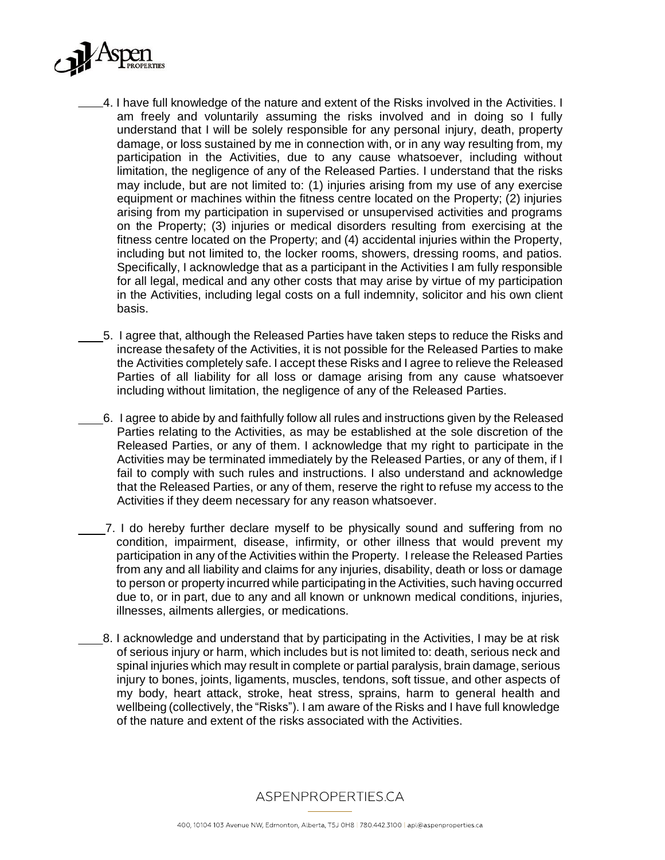

- 4. I have full knowledge of the nature and extent of the Risks involved in the Activities. I am freely and voluntarily assuming the risks involved and in doing so I fully understand that I will be solely responsible for any personal injury, death, property damage, or loss sustained by me in connection with, or in any way resulting from, my participation in the Activities, due to any cause whatsoever, including without limitation, the negligence of any of the Released Parties. I understand that the risks may include, but are not limited to: (1) injuries arising from my use of any exercise equipment or machines within the fitness centre located on the Property; (2) injuries arising from my participation in supervised or unsupervised activities and programs on the Property; (3) injuries or medical disorders resulting from exercising at the fitness centre located on the Property; and (4) accidental injuries within the Property, including but not limited to, the locker rooms, showers, dressing rooms, and patios. Specifically, I acknowledge that as a participant in the Activities I am fully responsible for all legal, medical and any other costs that may arise by virtue of my participation in the Activities, including legal costs on a full indemnity, solicitor and his own client basis.
- 5. I agree that, although the Released Parties have taken steps to reduce the Risks and increase thesafety of the Activities, it is not possible for the Released Parties to make the Activities completely safe. I accept these Risks and I agree to relieve the Released Parties of all liability for all loss or damage arising from any cause whatsoever including without limitation, the negligence of any of the Released Parties.
- 6. I agree to abide by and faithfully follow all rules and instructions given by the Released Parties relating to the Activities, as may be established at the sole discretion of the Released Parties, or any of them. I acknowledge that my right to participate in the Activities may be terminated immediately by the Released Parties, or any of them, if I fail to comply with such rules and instructions. I also understand and acknowledge that the Released Parties, or any of them, reserve the right to refuse my access to the Activities if they deem necessary for any reason whatsoever.
- 7. I do hereby further declare myself to be physically sound and suffering from no condition, impairment, disease, infirmity, or other illness that would prevent my participation in any of the Activities within the Property. I release the Released Parties from any and all liability and claims for any injuries, disability, death or loss or damage to person or property incurred while participating in the Activities, such having occurred due to, or in part, due to any and all known or unknown medical conditions, injuries, illnesses, ailments allergies, or medications.
- 8. I acknowledge and understand that by participating in the Activities, I may be at risk of serious injury or harm, which includes but is not limited to: death, serious neck and spinal injuries which may result in complete or partial paralysis, brain damage, serious injury to bones, joints, ligaments, muscles, tendons, soft tissue, and other aspects of my body, heart attack, stroke, heat stress, sprains, harm to general health and wellbeing (collectively, the "Risks"). I am aware of the Risks and I have full knowledge of the nature and extent of the risks associated with the Activities.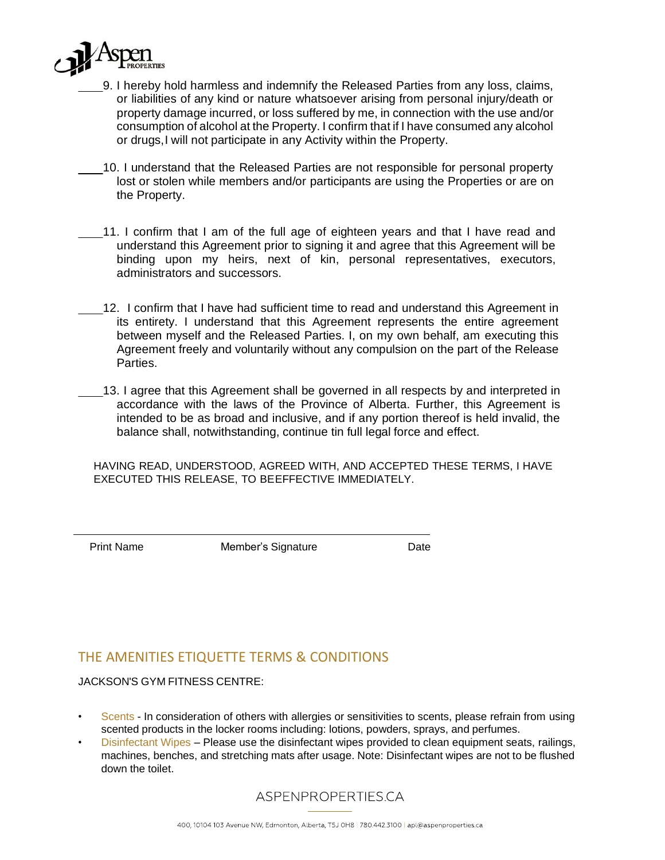

- 9. I hereby hold harmless and indemnify the Released Parties from any loss, claims, or liabilities of any kind or nature whatsoever arising from personal injury/death or property damage incurred, or loss suffered by me, in connection with the use and/or consumption of alcohol at the Property. I confirm that if I have consumed any alcohol or drugs,I will not participate in any Activity within the Property.
	- 10. I understand that the Released Parties are not responsible for personal property lost or stolen while members and/or participants are using the Properties or are on the Property.
- 11. I confirm that I am of the full age of eighteen years and that I have read and understand this Agreement prior to signing it and agree that this Agreement will be binding upon my heirs, next of kin, personal representatives, executors, administrators and successors.
	- 12. I confirm that I have had sufficient time to read and understand this Agreement in its entirety. I understand that this Agreement represents the entire agreement between myself and the Released Parties. I, on my own behalf, am executing this Agreement freely and voluntarily without any compulsion on the part of the Release Parties.
	- 13. I agree that this Agreement shall be governed in all respects by and interpreted in accordance with the laws of the Province of Alberta. Further, this Agreement is intended to be as broad and inclusive, and if any portion thereof is held invalid, the balance shall, notwithstanding, continue tin full legal force and effect.

HAVING READ, UNDERSTOOD, AGREED WITH, AND ACCEPTED THESE TERMS, I HAVE EXECUTED THIS RELEASE, TO BEEFFECTIVE IMMEDIATELY.

Print Name Member's Signature Date

## THE AMENITIES ETIQUETTE TERMS & CONDITIONS

JACKSON'S GYM FITNESS CENTRE:

- Scents In consideration of others with allergies or sensitivities to scents, please refrain from using scented products in the locker rooms including: lotions, powders, sprays, and perfumes.
- Disinfectant Wipes Please use the disinfectant wipes provided to clean equipment seats, railings, machines, benches, and stretching mats after usage. Note: Disinfectant wipes are not to be flushed down the toilet.